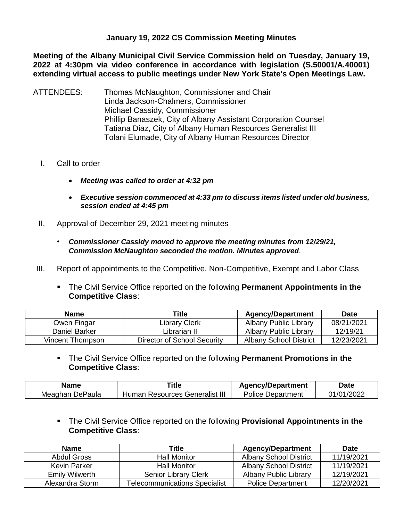## **January 19, 2022 CS Commission Meeting Minutes**

**Meeting of the Albany Municipal Civil Service Commission held on Tuesday, January 19, 2022 at 4:30pm via video conference in accordance with legislation (S.50001/A.40001) extending virtual access to public meetings under New York State's Open Meetings Law.** 

- ATTENDEES: Thomas McNaughton, Commissioner and Chair Linda Jackson-Chalmers, Commissioner Michael Cassidy, Commissioner Phillip Banaszek, City of Albany Assistant Corporation Counsel Tatiana Diaz, City of Albany Human Resources Generalist III Tolani Elumade, City of Albany Human Resources Director
	- I. Call to order
		- *Meeting was called to order at 4:32 pm*
		- *Executive session commenced at 4:33 pm to discuss items listed under old business, session ended at 4:45 pm*
	- II. Approval of December 29, 2021 meeting minutes
		- *Commissioner Cassidy moved to approve the meeting minutes from 12/29/21, Commission McNaughton seconded the motion. Minutes approved*.
- III. Report of appointments to the Competitive, Non-Competitive, Exempt and Labor Class
	- The Civil Service Office reported on the following **Permanent Appointments in the Competitive Class**:

| <b>Name</b>      | Title                       | <b>Agency/Department</b>      | <b>Date</b> |
|------------------|-----------------------------|-------------------------------|-------------|
| Owen Fingar      | Library Clerk               | Albany Public Library         | 08/21/2021  |
| Daniel Barker    | Librarian II                | Albany Public Library         | 12/19/21    |
| Vincent Thompson | Director of School Security | <b>Albany School District</b> | 12/23/2021  |

 The Civil Service Office reported on the following **Permanent Promotions in the Competitive Class**:

| Name            | Title                          | <b>Agency/Department</b> | Date       |
|-----------------|--------------------------------|--------------------------|------------|
| Meaghan DePaula | Human Resources Generalist III | <b>Police Department</b> | 01/01/2022 |

 The Civil Service Office reported on the following **Provisional Appointments in the Competitive Class**:

| <b>Name</b>           | Title                                | <b>Agency/Department</b>      | <b>Date</b> |
|-----------------------|--------------------------------------|-------------------------------|-------------|
| Abdul Gross           | <b>Hall Monitor</b>                  | <b>Albany School District</b> | 11/19/2021  |
| Kevin Parker          | <b>Hall Monitor</b>                  | <b>Albany School District</b> | 11/19/2021  |
| <b>Emily Wilwerth</b> | <b>Senior Library Clerk</b>          | Albany Public Library         | 12/19/2021  |
| Alexandra Storm       | <b>Telecommunications Specialist</b> | <b>Police Department</b>      | 12/20/2021  |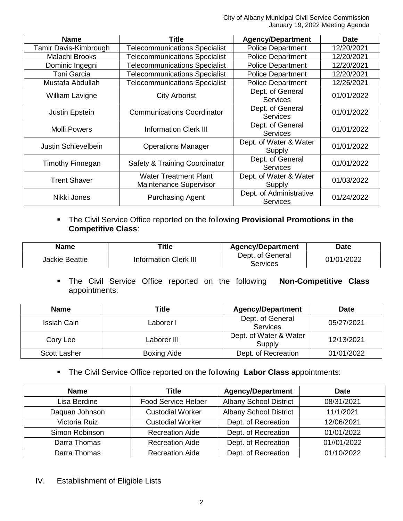| <b>Name</b>             | <b>Title</b>                                           | <b>Agency/Department</b>                   | <b>Date</b> |
|-------------------------|--------------------------------------------------------|--------------------------------------------|-------------|
| Tamir Davis-Kimbrough   | <b>Telecommunications Specialist</b>                   | <b>Police Department</b>                   | 12/20/2021  |
| Malachi Brooks          | <b>Telecommunications Specialist</b>                   | <b>Police Department</b>                   | 12/20/2021  |
| Dominic Ingegni         | <b>Telecommunications Specialist</b>                   | <b>Police Department</b>                   | 12/20/2021  |
| <b>Toni Garcia</b>      | <b>Telecommunications Specialist</b>                   | <b>Police Department</b>                   | 12/20/2021  |
| Mustafa Abdullah        | <b>Telecommunications Specialist</b>                   | <b>Police Department</b><br>12/26/2021     |             |
| William Lavigne         | <b>City Arborist</b>                                   | Dept. of General<br><b>Services</b>        | 01/01/2022  |
| Justin Epstein          | <b>Communications Coordinator</b>                      | Dept. of General<br><b>Services</b>        | 01/01/2022  |
| <b>Molli Powers</b>     | <b>Information Clerk III</b>                           | Dept. of General<br><b>Services</b>        | 01/01/2022  |
| Justin Schievelbein     | <b>Operations Manager</b>                              | Dept. of Water & Water<br>Supply           | 01/01/2022  |
| <b>Timothy Finnegan</b> | Safety & Training Coordinator                          | Dept. of General<br><b>Services</b>        | 01/01/2022  |
| <b>Trent Shaver</b>     | <b>Water Treatment Plant</b><br>Maintenance Supervisor | Dept. of Water & Water<br>Supply           | 01/03/2022  |
| Nikki Jones             | <b>Purchasing Agent</b>                                | Dept. of Administrative<br><b>Services</b> | 01/24/2022  |

 The Civil Service Office reported on the following **Provisional Promotions in the Competitive Class**:

| <b>Name</b>    | <b>Title</b>                 | <b>Agency/Department</b>     | <b>Date</b> |
|----------------|------------------------------|------------------------------|-------------|
| Jackie Beattie | <b>Information Clerk III</b> | Dept. of General<br>Services | 01/01/2022  |

 The Civil Service Office reported on the following **Non-Competitive Class** appointments:

| <b>Name</b>         | <b>Title</b>       | <b>Agency/Department</b>            | <b>Date</b> |
|---------------------|--------------------|-------------------------------------|-------------|
| Issiah Cain         | Laborer I          | Dept. of General<br><b>Services</b> | 05/27/2021  |
| Cory Lee            | Laborer III        | Dept. of Water & Water<br>Supply    | 12/13/2021  |
| <b>Scott Lasher</b> | <b>Boxing Aide</b> | Dept. of Recreation                 | 01/01/2022  |

The Civil Service Office reported on the following **Labor Class** appointments:

| <b>Name</b>    | <b>Title</b>               | <b>Agency/Department</b>      | <b>Date</b> |
|----------------|----------------------------|-------------------------------|-------------|
| Lisa Berdine   | <b>Food Service Helper</b> | <b>Albany School District</b> | 08/31/2021  |
| Daquan Johnson | <b>Custodial Worker</b>    | <b>Albany School District</b> | 11/1/2021   |
| Victoria Ruiz  | <b>Custodial Worker</b>    | Dept. of Recreation           | 12/06/2021  |
| Simon Robinson | <b>Recreation Aide</b>     | Dept. of Recreation           | 01/01/2022  |
| Darra Thomas   | <b>Recreation Aide</b>     | Dept. of Recreation           | 01//01/2022 |
| Darra Thomas   | <b>Recreation Aide</b>     | Dept. of Recreation           | 01/10/2022  |

IV. Establishment of Eligible Lists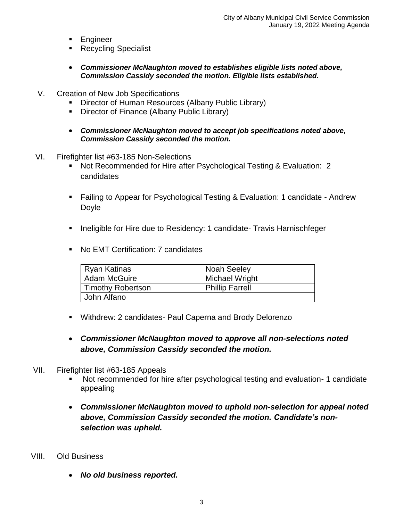- **Engineer**
- Recycling Specialist
- *Commissioner McNaughton moved to establishes eligible lists noted above, Commission Cassidy seconded the motion. Eligible lists established.*
- V. Creation of New Job Specifications
	- Director of Human Resources (Albany Public Library)
	- **Director of Finance (Albany Public Library)**
	- *Commissioner McNaughton moved to accept job specifications noted above, Commission Cassidy seconded the motion.*
- VI. Firefighter list #63-185 Non-Selections
	- Not Recommended for Hire after Psychological Testing & Evaluation: 2 candidates
	- Failing to Appear for Psychological Testing & Evaluation: 1 candidate Andrew Doyle
	- **Ineligible for Hire due to Residency: 1 candidate- Travis Harnischfeger**
	- No EMT Certification: 7 candidates

| Ryan Katinas      | <b>Noah Seeley</b>     |
|-------------------|------------------------|
| Adam McGuire      | Michael Wright         |
| Timothy Robertson | <b>Phillip Farrell</b> |
| John Alfano       |                        |

- Withdrew: 2 candidates- Paul Caperna and Brody Delorenzo
- *Commissioner McNaughton moved to approve all non-selections noted above, Commission Cassidy seconded the motion.*
- VII. Firefighter list #63-185 Appeals
	- Not recommended for hire after psychological testing and evaluation- 1 candidate appealing
	- *Commissioner McNaughton moved to uphold non-selection for appeal noted above, Commission Cassidy seconded the motion. Candidate's nonselection was upheld.*
- VIII. Old Business
	- *No old business reported.*